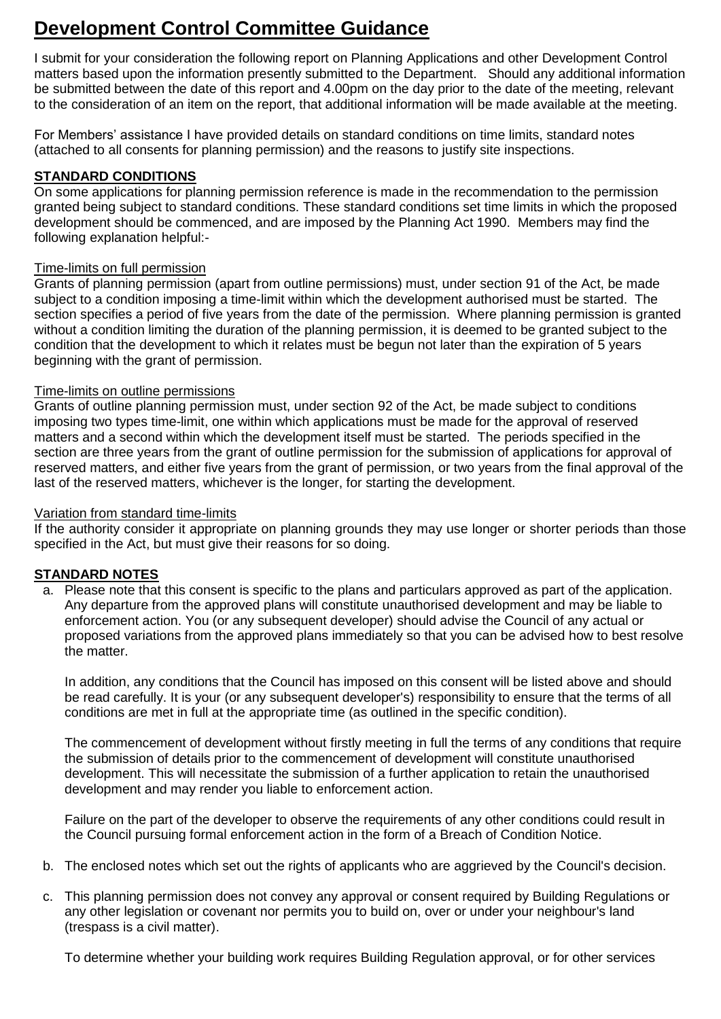# **Development Control Committee Guidance**

I submit for your consideration the following report on Planning Applications and other Development Control matters based upon the information presently submitted to the Department. Should any additional information be submitted between the date of this report and 4.00pm on the day prior to the date of the meeting, relevant to the consideration of an item on the report, that additional information will be made available at the meeting.

For Members' assistance I have provided details on standard conditions on time limits, standard notes (attached to all consents for planning permission) and the reasons to justify site inspections.

# **STANDARD CONDITIONS**

On some applications for planning permission reference is made in the recommendation to the permission granted being subject to standard conditions. These standard conditions set time limits in which the proposed development should be commenced, and are imposed by the Planning Act 1990. Members may find the following explanation helpful:-

# Time-limits on full permission

Grants of planning permission (apart from outline permissions) must, under section 91 of the Act, be made subject to a condition imposing a time-limit within which the development authorised must be started. The section specifies a period of five years from the date of the permission. Where planning permission is granted without a condition limiting the duration of the planning permission, it is deemed to be granted subject to the condition that the development to which it relates must be begun not later than the expiration of 5 years beginning with the grant of permission.

# Time-limits on outline permissions

Grants of outline planning permission must, under section 92 of the Act, be made subject to conditions imposing two types time-limit, one within which applications must be made for the approval of reserved matters and a second within which the development itself must be started. The periods specified in the section are three years from the grant of outline permission for the submission of applications for approval of reserved matters, and either five years from the grant of permission, or two years from the final approval of the last of the reserved matters, whichever is the longer, for starting the development.

## Variation from standard time-limits

If the authority consider it appropriate on planning grounds they may use longer or shorter periods than those specified in the Act, but must give their reasons for so doing.

# **STANDARD NOTES**

a. Please note that this consent is specific to the plans and particulars approved as part of the application. Any departure from the approved plans will constitute unauthorised development and may be liable to enforcement action. You (or any subsequent developer) should advise the Council of any actual or proposed variations from the approved plans immediately so that you can be advised how to best resolve the matter.

In addition, any conditions that the Council has imposed on this consent will be listed above and should be read carefully. It is your (or any subsequent developer's) responsibility to ensure that the terms of all conditions are met in full at the appropriate time (as outlined in the specific condition).

The commencement of development without firstly meeting in full the terms of any conditions that require the submission of details prior to the commencement of development will constitute unauthorised development. This will necessitate the submission of a further application to retain the unauthorised development and may render you liable to enforcement action.

Failure on the part of the developer to observe the requirements of any other conditions could result in the Council pursuing formal enforcement action in the form of a Breach of Condition Notice.

- b. The enclosed notes which set out the rights of applicants who are aggrieved by the Council's decision.
- c. This planning permission does not convey any approval or consent required by Building Regulations or any other legislation or covenant nor permits you to build on, over or under your neighbour's land (trespass is a civil matter).

To determine whether your building work requires Building Regulation approval, or for other services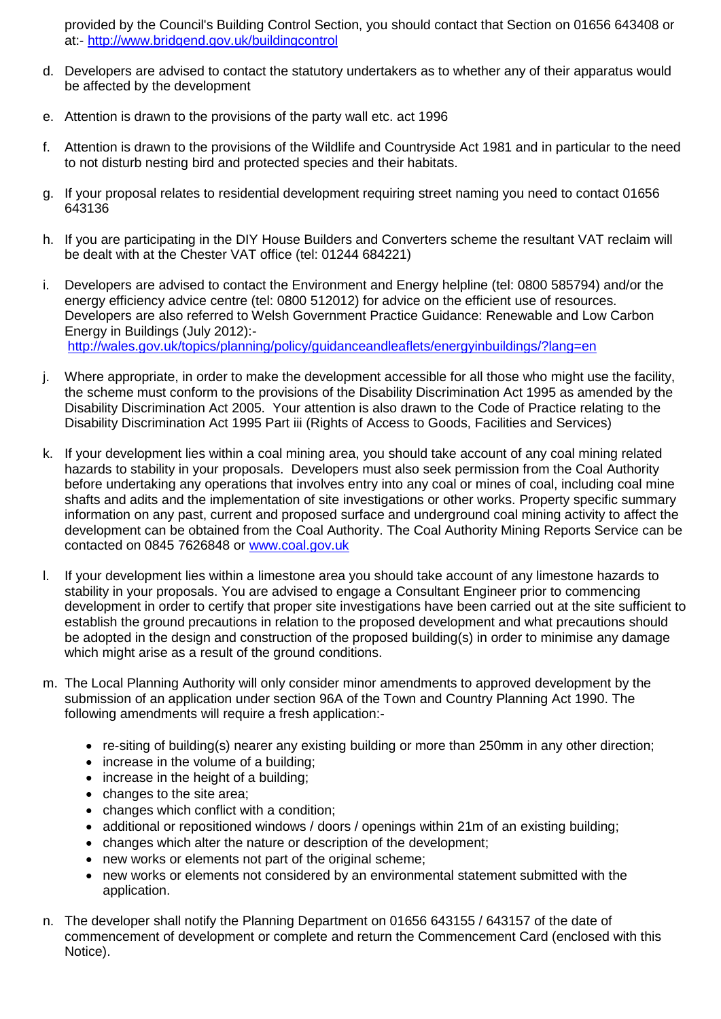provided by the Council's Building Control Section, you should contact that Section on 01656 643408 or at:- <http://www.bridgend.gov.uk/buildingcontrol>

- d. Developers are advised to contact the statutory undertakers as to whether any of their apparatus would be affected by the development
- e. Attention is drawn to the provisions of the party wall etc. act 1996
- f. Attention is drawn to the provisions of the Wildlife and Countryside Act 1981 and in particular to the need to not disturb nesting bird and protected species and their habitats.
- g. If your proposal relates to residential development requiring street naming you need to contact 01656 643136
- h. If you are participating in the DIY House Builders and Converters scheme the resultant VAT reclaim will be dealt with at the Chester VAT office (tel: 01244 684221)
- i. Developers are advised to contact the Environment and Energy helpline (tel: 0800 585794) and/or the energy efficiency advice centre (tel: 0800 512012) for advice on the efficient use of resources. Developers are also referred to Welsh Government Practice Guidance: Renewable and Low Carbon Energy in Buildings (July 2012): <http://wales.gov.uk/topics/planning/policy/guidanceandleaflets/energyinbuildings/?lang=en>
- j. Where appropriate, in order to make the development accessible for all those who might use the facility, the scheme must conform to the provisions of the Disability Discrimination Act 1995 as amended by the Disability Discrimination Act 2005. Your attention is also drawn to the Code of Practice relating to the Disability Discrimination Act 1995 Part iii (Rights of Access to Goods, Facilities and Services)
- k. If your development lies within a coal mining area, you should take account of any coal mining related hazards to stability in your proposals. Developers must also seek permission from the Coal Authority before undertaking any operations that involves entry into any coal or mines of coal, including coal mine shafts and adits and the implementation of site investigations or other works. Property specific summary information on any past, current and proposed surface and underground coal mining activity to affect the development can be obtained from the Coal Authority. The Coal Authority Mining Reports Service can be contacted on 0845 7626848 or [www.coal.gov.uk](http://www.coal.gov.uk/)
- l. If your development lies within a limestone area you should take account of any limestone hazards to stability in your proposals. You are advised to engage a Consultant Engineer prior to commencing development in order to certify that proper site investigations have been carried out at the site sufficient to establish the ground precautions in relation to the proposed development and what precautions should be adopted in the design and construction of the proposed building(s) in order to minimise any damage which might arise as a result of the ground conditions.
- m. The Local Planning Authority will only consider minor amendments to approved development by the submission of an application under section 96A of the Town and Country Planning Act 1990. The following amendments will require a fresh application:
	- re-siting of building(s) nearer any existing building or more than 250mm in any other direction;
	- increase in the volume of a building;
	- increase in the height of a building:
	- changes to the site area:
	- changes which conflict with a condition;
	- additional or repositioned windows / doors / openings within 21m of an existing building;
	- changes which alter the nature or description of the development;
	- new works or elements not part of the original scheme;
	- new works or elements not considered by an environmental statement submitted with the application.
- n. The developer shall notify the Planning Department on 01656 643155 / 643157 of the date of commencement of development or complete and return the Commencement Card (enclosed with this Notice).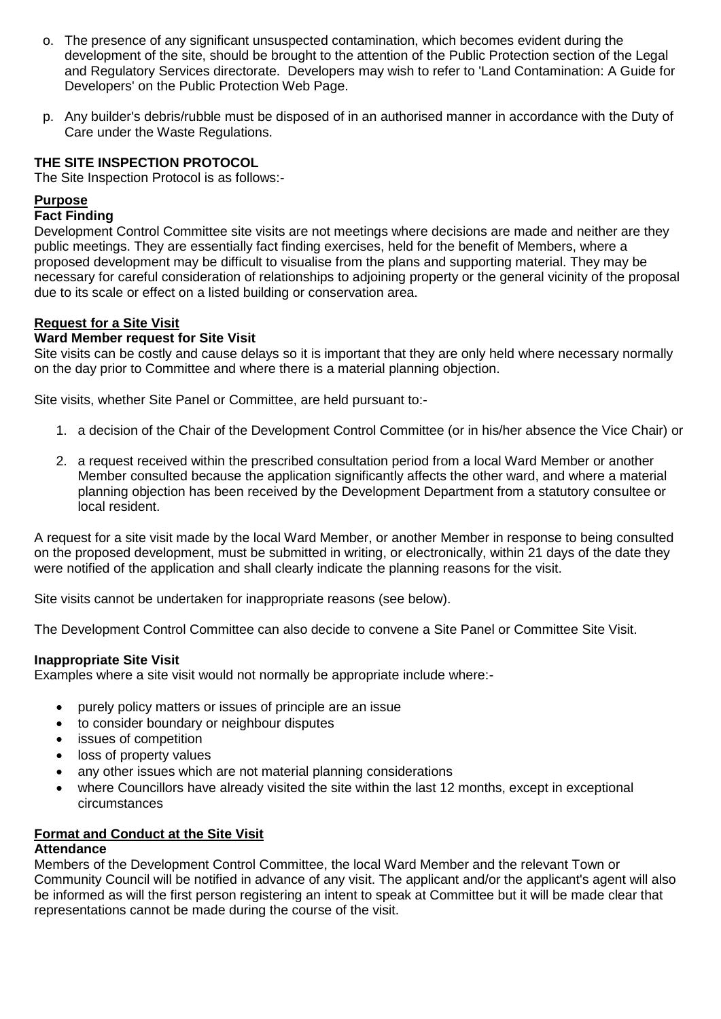- o. The presence of any significant unsuspected contamination, which becomes evident during the development of the site, should be brought to the attention of the Public Protection section of the Legal and Regulatory Services directorate. Developers may wish to refer to 'Land Contamination: A Guide for Developers' on the Public Protection Web Page.
- p. Any builder's debris/rubble must be disposed of in an authorised manner in accordance with the Duty of Care under the Waste Regulations.

# **THE SITE INSPECTION PROTOCOL**

The Site Inspection Protocol is as follows:-

# **Purpose**

#### **Fact Finding**

Development Control Committee site visits are not meetings where decisions are made and neither are they public meetings. They are essentially fact finding exercises, held for the benefit of Members, where a proposed development may be difficult to visualise from the plans and supporting material. They may be necessary for careful consideration of relationships to adjoining property or the general vicinity of the proposal due to its scale or effect on a listed building or conservation area.

#### **Request for a Site Visit**

#### **Ward Member request for Site Visit**

Site visits can be costly and cause delays so it is important that they are only held where necessary normally on the day prior to Committee and where there is a material planning objection.

Site visits, whether Site Panel or Committee, are held pursuant to:-

- 1. a decision of the Chair of the Development Control Committee (or in his/her absence the Vice Chair) or
- 2. a request received within the prescribed consultation period from a local Ward Member or another Member consulted because the application significantly affects the other ward, and where a material planning objection has been received by the Development Department from a statutory consultee or local resident.

A request for a site visit made by the local Ward Member, or another Member in response to being consulted on the proposed development, must be submitted in writing, or electronically, within 21 days of the date they were notified of the application and shall clearly indicate the planning reasons for the visit.

Site visits cannot be undertaken for inappropriate reasons (see below).

The Development Control Committee can also decide to convene a Site Panel or Committee Site Visit.

#### **Inappropriate Site Visit**

Examples where a site visit would not normally be appropriate include where:-

- purely policy matters or issues of principle are an issue
- to consider boundary or neighbour disputes
- issues of competition
- loss of property values
- any other issues which are not material planning considerations
- where Councillors have already visited the site within the last 12 months, except in exceptional circumstances

#### **Format and Conduct at the Site Visit**

#### **Attendance**

Members of the Development Control Committee, the local Ward Member and the relevant Town or Community Council will be notified in advance of any visit. The applicant and/or the applicant's agent will also be informed as will the first person registering an intent to speak at Committee but it will be made clear that representations cannot be made during the course of the visit.